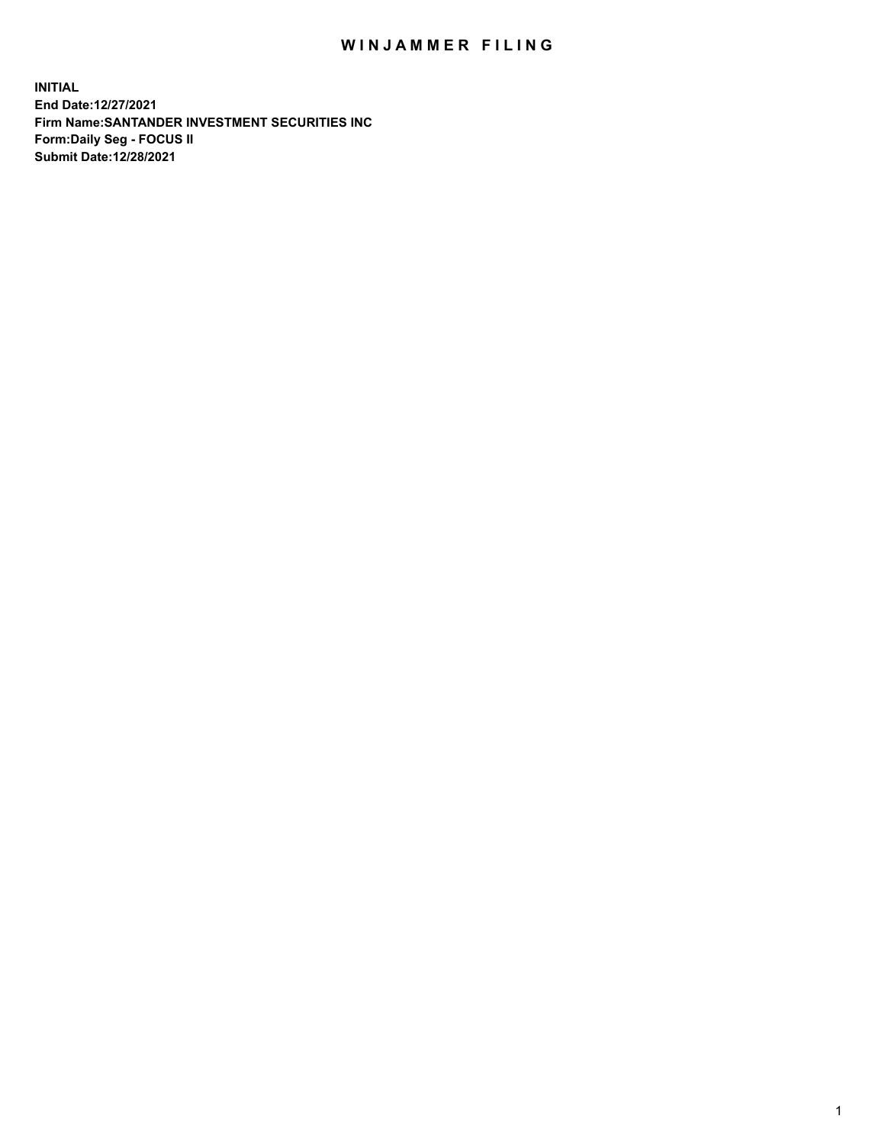## WIN JAMMER FILING

**INITIAL End Date:12/27/2021 Firm Name:SANTANDER INVESTMENT SECURITIES INC Form:Daily Seg - FOCUS II Submit Date:12/28/2021**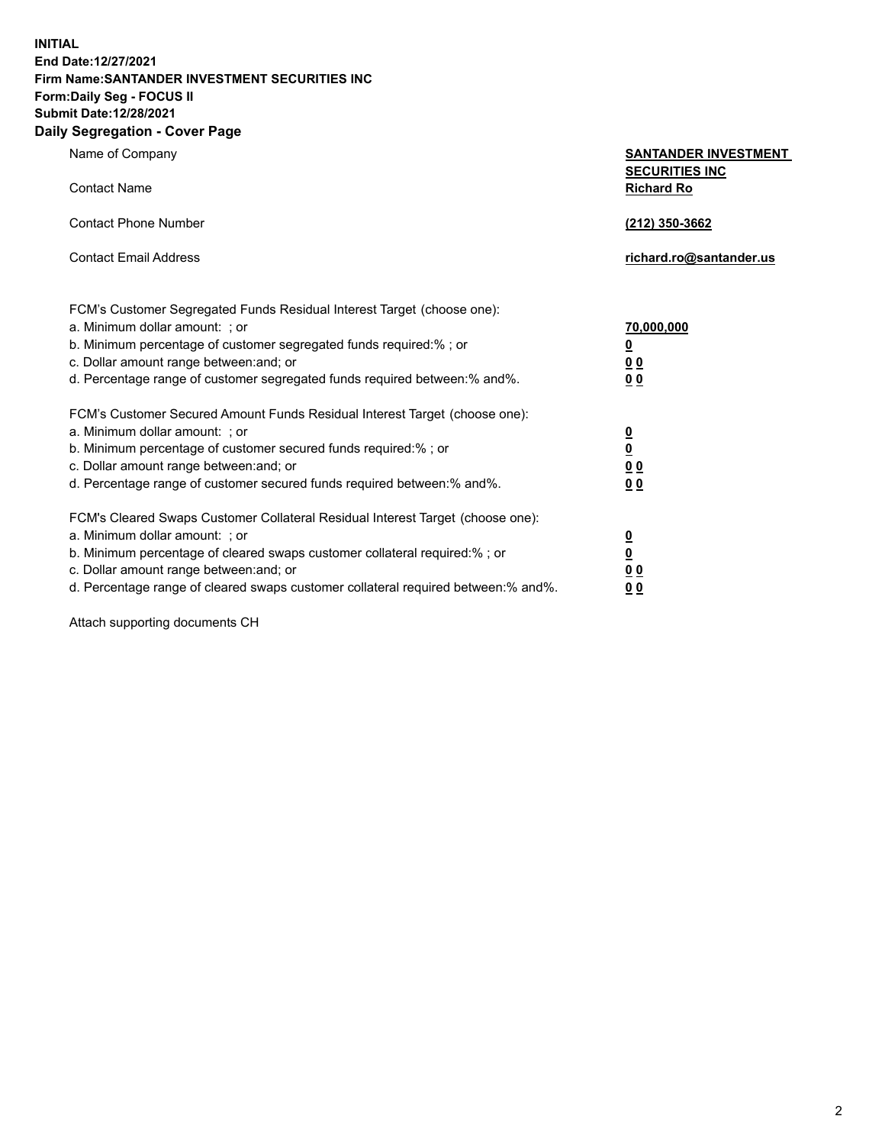**INITIAL End Date:12/27/2021 Firm Name:SANTANDER INVESTMENT SECURITIES INC Form:Daily Seg - FOCUS II Submit Date:12/28/2021 Daily Segregation - Cover Page**

| $\gamma$ ocgi cganon - oo $\gamma$ or - ago                                       |                                                      |
|-----------------------------------------------------------------------------------|------------------------------------------------------|
| Name of Company                                                                   | <b>SANTANDER INVESTMENT</b><br><b>SECURITIES INC</b> |
| <b>Contact Name</b>                                                               | <b>Richard Ro</b>                                    |
| <b>Contact Phone Number</b>                                                       | (212) 350-3662                                       |
| <b>Contact Email Address</b>                                                      | richard.ro@santander.us                              |
| FCM's Customer Segregated Funds Residual Interest Target (choose one):            |                                                      |
| a. Minimum dollar amount: ; or                                                    | 70,000,000                                           |
| b. Minimum percentage of customer segregated funds required:%; or                 | <u>0</u>                                             |
| c. Dollar amount range between: and; or                                           | 00                                                   |
| d. Percentage range of customer segregated funds required between:% and%.         | 0 <sub>0</sub>                                       |
| FCM's Customer Secured Amount Funds Residual Interest Target (choose one):        |                                                      |
| a. Minimum dollar amount: ; or                                                    | $\frac{0}{0}$                                        |
| b. Minimum percentage of customer secured funds required:%; or                    |                                                      |
| c. Dollar amount range between: and; or                                           | 0 <sub>0</sub>                                       |
| d. Percentage range of customer secured funds required between: % and %.          | 0 <sub>0</sub>                                       |
| FCM's Cleared Swaps Customer Collateral Residual Interest Target (choose one):    |                                                      |
| a. Minimum dollar amount: ; or                                                    | $\frac{0}{0}$                                        |
| b. Minimum percentage of cleared swaps customer collateral required:% ; or        |                                                      |
| c. Dollar amount range between: and; or                                           | 0 <sub>0</sub>                                       |
| d. Percentage range of cleared swaps customer collateral required between:% and%. | 0 <sub>0</sub>                                       |

Attach supporting documents CH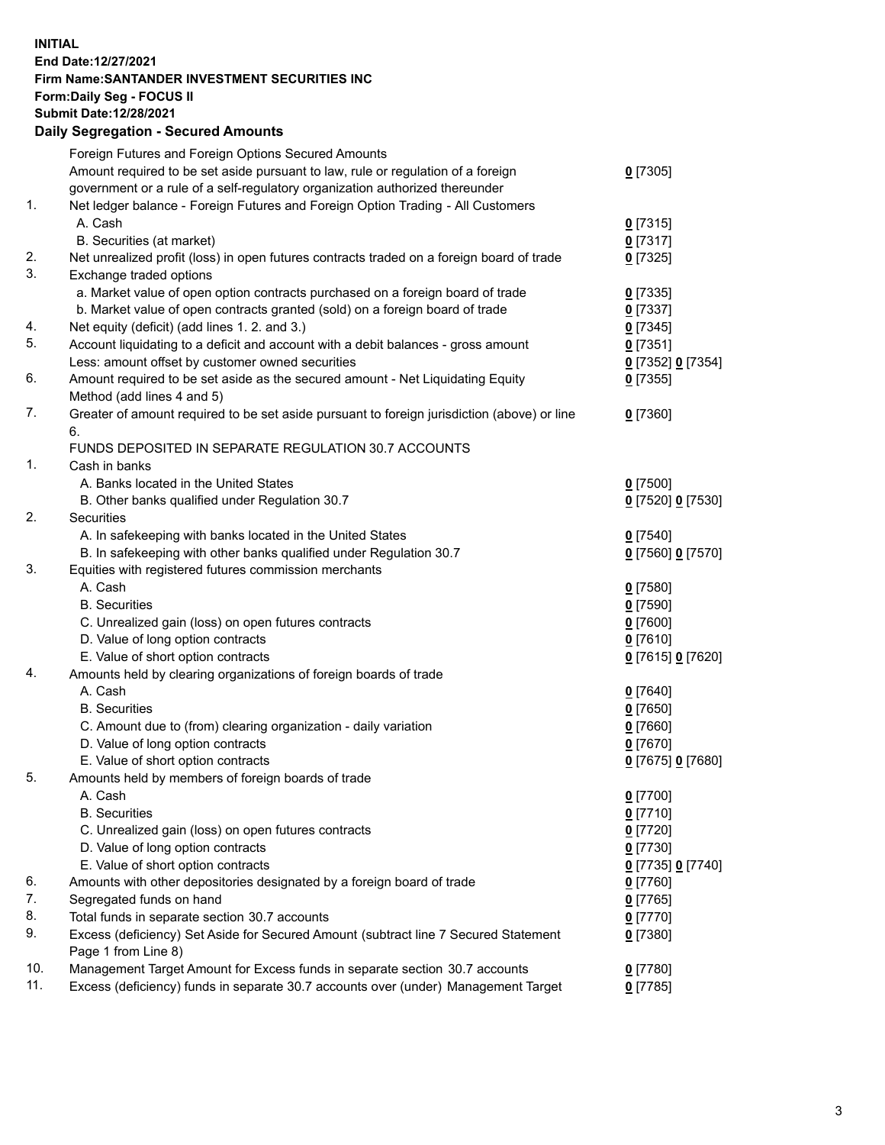## **INITIAL End Date:12/27/2021 Firm Name:SANTANDER INVESTMENT SECURITIES INC Form:Daily Seg - FOCUS II Submit Date:12/28/2021 Daily Segregation - Secured Amounts**

|     | Foreign Futures and Foreign Options Secured Amounts                                         |                   |
|-----|---------------------------------------------------------------------------------------------|-------------------|
|     | Amount required to be set aside pursuant to law, rule or regulation of a foreign            | $0$ [7305]        |
|     | government or a rule of a self-regulatory organization authorized thereunder                |                   |
| 1.  | Net ledger balance - Foreign Futures and Foreign Option Trading - All Customers             |                   |
|     | A. Cash                                                                                     | 0[7315]           |
|     | B. Securities (at market)                                                                   | $0$ [7317]        |
| 2.  | Net unrealized profit (loss) in open futures contracts traded on a foreign board of trade   | $0$ [7325]        |
| 3.  | Exchange traded options                                                                     |                   |
|     | a. Market value of open option contracts purchased on a foreign board of trade              | $0$ [7335]        |
|     | b. Market value of open contracts granted (sold) on a foreign board of trade                | $0$ [7337]        |
| 4.  | Net equity (deficit) (add lines 1. 2. and 3.)                                               | $0$ [7345]        |
| 5.  | Account liquidating to a deficit and account with a debit balances - gross amount           | $0$ [7351]        |
|     | Less: amount offset by customer owned securities                                            | 0 [7352] 0 [7354] |
| 6.  | Amount required to be set aside as the secured amount - Net Liquidating Equity              | $0$ [7355]        |
|     | Method (add lines 4 and 5)                                                                  |                   |
| 7.  | Greater of amount required to be set aside pursuant to foreign jurisdiction (above) or line | $0$ [7360]        |
|     | 6.                                                                                          |                   |
|     | FUNDS DEPOSITED IN SEPARATE REGULATION 30.7 ACCOUNTS                                        |                   |
| 1.  | Cash in banks                                                                               |                   |
|     | A. Banks located in the United States                                                       | $0$ [7500]        |
|     | B. Other banks qualified under Regulation 30.7                                              | 0 [7520] 0 [7530] |
| 2.  | <b>Securities</b>                                                                           |                   |
|     | A. In safekeeping with banks located in the United States                                   | $0$ [7540]        |
|     | B. In safekeeping with other banks qualified under Regulation 30.7                          | 0 [7560] 0 [7570] |
| 3.  | Equities with registered futures commission merchants                                       |                   |
|     | A. Cash                                                                                     | $0$ [7580]        |
|     | <b>B.</b> Securities                                                                        | $0$ [7590]        |
|     | C. Unrealized gain (loss) on open futures contracts                                         | $0$ [7600]        |
|     | D. Value of long option contracts                                                           | $0$ [7610]        |
|     | E. Value of short option contracts                                                          | 0 [7615] 0 [7620] |
| 4.  | Amounts held by clearing organizations of foreign boards of trade                           |                   |
|     | A. Cash                                                                                     | $0$ [7640]        |
|     | <b>B.</b> Securities                                                                        | $0$ [7650]        |
|     | C. Amount due to (from) clearing organization - daily variation                             | $0$ [7660]        |
|     | D. Value of long option contracts                                                           | $0$ [7670]        |
|     | E. Value of short option contracts                                                          | 0 [7675] 0 [7680] |
| 5.  | Amounts held by members of foreign boards of trade                                          |                   |
|     | A. Cash                                                                                     | $0$ [7700]        |
|     | <b>B.</b> Securities                                                                        | $0$ [7710]        |
|     | C. Unrealized gain (loss) on open futures contracts                                         | $0$ [7720]        |
|     | D. Value of long option contracts                                                           | $0$ [7730]        |
|     | E. Value of short option contracts                                                          | 0 [7735] 0 [7740] |
| 6.  | Amounts with other depositories designated by a foreign board of trade                      | $0$ [7760]        |
| 7.  | Segregated funds on hand                                                                    | $0$ [7765]        |
| 8.  | Total funds in separate section 30.7 accounts                                               | $0$ [7770]        |
| 9.  | Excess (deficiency) Set Aside for Secured Amount (subtract line 7 Secured Statement         | $0$ [7380]        |
|     | Page 1 from Line 8)                                                                         |                   |
| 10. | Management Target Amount for Excess funds in separate section 30.7 accounts                 | $0$ [7780]        |
| 11. | Excess (deficiency) funds in separate 30.7 accounts over (under) Management Target          | $0$ [7785]        |
|     |                                                                                             |                   |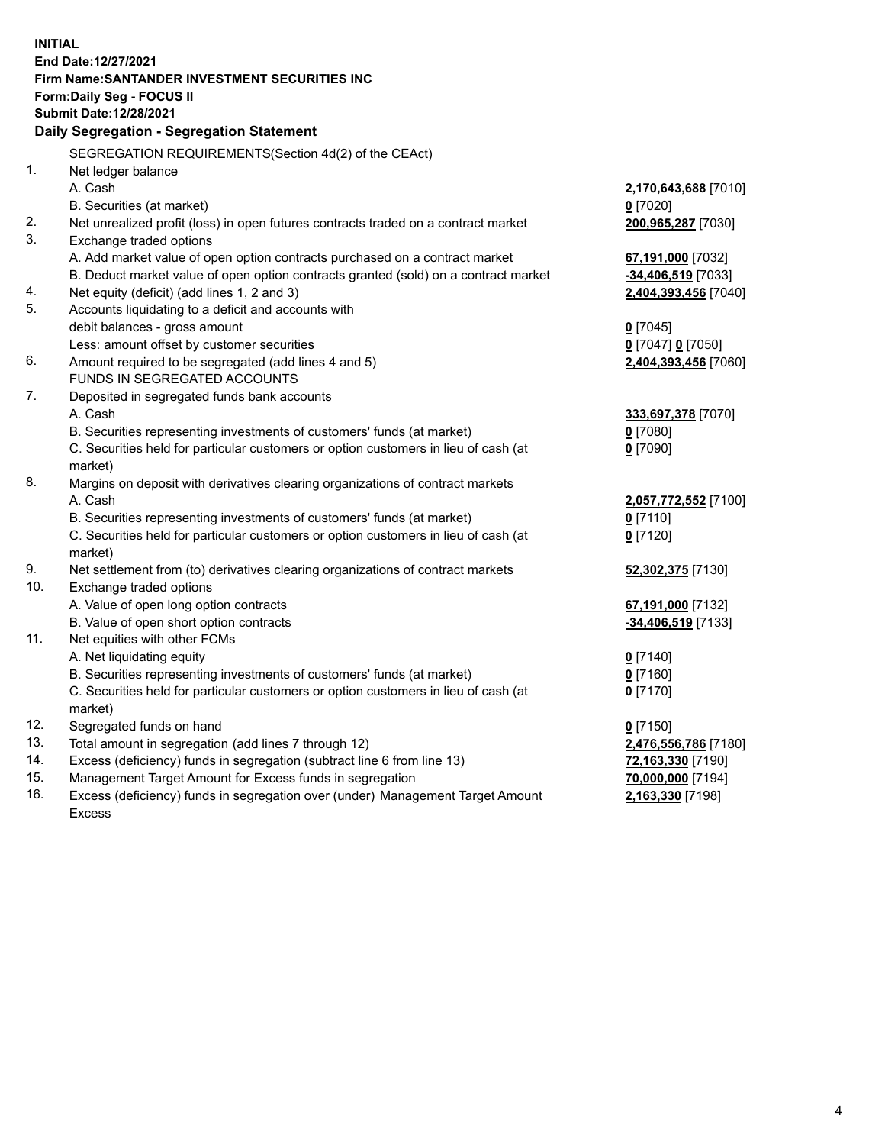| <b>INITIAL</b> |                                                                                     |                      |
|----------------|-------------------------------------------------------------------------------------|----------------------|
|                | End Date:12/27/2021                                                                 |                      |
|                | Firm Name: SANTANDER INVESTMENT SECURITIES INC                                      |                      |
|                | Form: Daily Seg - FOCUS II                                                          |                      |
|                | Submit Date:12/28/2021                                                              |                      |
|                | Daily Segregation - Segregation Statement                                           |                      |
|                | SEGREGATION REQUIREMENTS(Section 4d(2) of the CEAct)                                |                      |
| 1.             | Net ledger balance                                                                  |                      |
|                | A. Cash                                                                             | 2,170,643,688 [7010] |
|                | B. Securities (at market)                                                           | $0$ [7020]           |
| 2.             | Net unrealized profit (loss) in open futures contracts traded on a contract market  | 200,965,287 [7030]   |
| 3.             | Exchange traded options                                                             |                      |
|                | A. Add market value of open option contracts purchased on a contract market         | 67,191,000 [7032]    |
|                | B. Deduct market value of open option contracts granted (sold) on a contract market | $-34,406,519$ [7033] |
| 4.             | Net equity (deficit) (add lines 1, 2 and 3)                                         | 2,404,393,456 [7040] |
| 5.             | Accounts liquidating to a deficit and accounts with                                 |                      |
|                | debit balances - gross amount                                                       | $0$ [7045]           |
|                | Less: amount offset by customer securities                                          | 0 [7047] 0 [7050]    |
| 6.             | Amount required to be segregated (add lines 4 and 5)                                | 2,404,393,456 [7060] |
|                | FUNDS IN SEGREGATED ACCOUNTS                                                        |                      |
| 7.             | Deposited in segregated funds bank accounts                                         |                      |
|                | A. Cash                                                                             | 333,697,378 [7070]   |
|                | B. Securities representing investments of customers' funds (at market)              | $0$ [7080]           |
|                | C. Securities held for particular customers or option customers in lieu of cash (at | $0$ [7090]           |
|                | market)                                                                             |                      |
| 8.             | Margins on deposit with derivatives clearing organizations of contract markets      |                      |
|                | A. Cash                                                                             | 2,057,772,552 [7100] |
|                | B. Securities representing investments of customers' funds (at market)              | $0$ [7110]           |
|                | C. Securities held for particular customers or option customers in lieu of cash (at | $0$ [7120]           |
|                | market)                                                                             |                      |
| 9.             | Net settlement from (to) derivatives clearing organizations of contract markets     | 52,302,375 [7130]    |
| 10.            | Exchange traded options                                                             |                      |
|                | A. Value of open long option contracts                                              | 67,191,000 [7132]    |
|                | B. Value of open short option contracts                                             | $-34,406,519$ [7133] |
| 11.            | Net equities with other FCMs                                                        |                      |
|                | A. Net liquidating equity                                                           | $0$ [7140]           |
|                | B. Securities representing investments of customers' funds (at market)              | $0$ [7160]           |
|                | C. Securities held for particular customers or option customers in lieu of cash (at | $0$ [7170]           |
|                | market)                                                                             |                      |
| 12.            | Segregated funds on hand                                                            | $0$ [7150]           |
| 13.            | Total amount in segregation (add lines 7 through 12)                                | 2,476,556,786 [7180] |
| 14.            | Excess (deficiency) funds in segregation (subtract line 6 from line 13)             | 72,163,330 [7190]    |
| 15.            | Management Target Amount for Excess funds in segregation                            | 70,000,000 [7194]    |
| 16.            | Excess (deficiency) funds in segregation over (under) Management Target Amount      | 2,163,330 [7198]     |
|                | <b>Excess</b>                                                                       |                      |